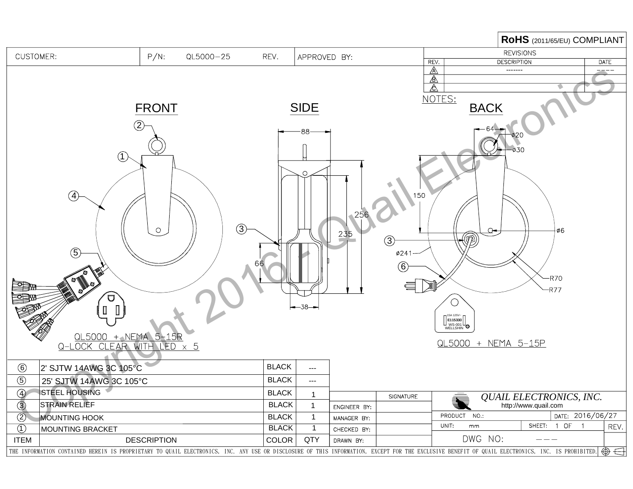|                                                                                                                                                                                                              |                      |              |              |                                      |                 |              |                                                 | RoHS (2011/65/EU) COMPLIANT |  |
|--------------------------------------------------------------------------------------------------------------------------------------------------------------------------------------------------------------|----------------------|--------------|--------------|--------------------------------------|-----------------|--------------|-------------------------------------------------|-----------------------------|--|
| <b>CUSTOMER:</b>                                                                                                                                                                                             | $P/N$ :<br>QL5000-25 | REV.         | APPROVED BY: |                                      |                 |              | <b>REVISIONS</b>                                |                             |  |
|                                                                                                                                                                                                              |                      |              |              |                                      |                 | REV.         | <b>DESCRIPTION</b>                              | <b>DATE</b>                 |  |
|                                                                                                                                                                                                              |                      |              |              |                                      |                 | $\mathbb{A}$ | -------                                         |                             |  |
|                                                                                                                                                                                                              |                      |              |              | <u></u> ≜<br>$\overline{\mathbb{A}}$ |                 |              |                                                 |                             |  |
|                                                                                                                                                                                                              |                      |              |              | NOTES:                               |                 |              |                                                 |                             |  |
| <b>FRONT</b>                                                                                                                                                                                                 |                      |              | <b>SIDE</b>  |                                      |                 | <b>BACK</b>  |                                                 |                             |  |
|                                                                                                                                                                                                              |                      |              |              |                                      |                 |              |                                                 |                             |  |
| $\circled{2}$                                                                                                                                                                                                |                      | $-88-$       |              |                                      |                 |              |                                                 |                             |  |
|                                                                                                                                                                                                              |                      |              |              |                                      |                 |              |                                                 |                             |  |
| (1)                                                                                                                                                                                                          |                      |              |              |                                      |                 | $-0.30$      |                                                 |                             |  |
|                                                                                                                                                                                                              |                      |              |              |                                      |                 |              |                                                 |                             |  |
|                                                                                                                                                                                                              |                      | Ο            |              |                                      |                 |              |                                                 |                             |  |
|                                                                                                                                                                                                              |                      |              |              |                                      |                 |              |                                                 |                             |  |
| $\bigcirc$                                                                                                                                                                                                   |                      |              | 150          |                                      |                 |              |                                                 |                             |  |
|                                                                                                                                                                                                              |                      |              |              |                                      |                 |              |                                                 |                             |  |
| 25 <sub>1</sub>                                                                                                                                                                                              |                      |              |              |                                      |                 |              |                                                 |                             |  |
| $\circledS$<br>$\circ$<br>∤ø6<br>$\circ$                                                                                                                                                                     |                      |              |              |                                      |                 |              |                                                 |                             |  |
| 235<br>@\<br>$\circled{3}$                                                                                                                                                                                   |                      |              |              |                                      |                 |              |                                                 |                             |  |
| $\circledS$                                                                                                                                                                                                  |                      |              |              | $\varphi241$                         |                 |              |                                                 |                             |  |
|                                                                                                                                                                                                              |                      |              |              |                                      |                 |              |                                                 |                             |  |
|                                                                                                                                                                                                              |                      |              |              |                                      | $(\widehat{6})$ |              |                                                 |                             |  |
| $-R70$                                                                                                                                                                                                       |                      |              |              |                                      |                 |              |                                                 |                             |  |
| $\mathbf \Omega$                                                                                                                                                                                             |                      |              |              |                                      |                 | $-R77$       |                                                 |                             |  |
|                                                                                                                                                                                                              |                      | $-38-$       |              |                                      |                 |              |                                                 |                             |  |
| $\begin{array}{c} \blacksquare \quad \blacksquare \end{array}$                                                                                                                                               |                      |              |              |                                      |                 |              |                                                 |                             |  |
| $\begin{bmatrix} 15A & 125V - \\ \text{E115330} \\ \text{WS-001} \\ \text{WELLSHIN} \end{bmatrix}$                                                                                                           |                      |              |              |                                      |                 |              |                                                 |                             |  |
| QL5000 + NEMA 5-15R                                                                                                                                                                                          |                      |              |              |                                      |                 |              |                                                 |                             |  |
| QL5000 + NEMA 5-15P<br>OCK CLEAR WITH LED x 5                                                                                                                                                                |                      |              |              |                                      |                 |              |                                                 |                             |  |
| 2' SJTW 14AWG 3C 105°C                                                                                                                                                                                       |                      | <b>BLACK</b> |              |                                      |                 |              |                                                 |                             |  |
| $\circled6$<br>$\circledS$<br>25' SJTW 14AWG 3C 105°C                                                                                                                                                        |                      | <b>BLACK</b> | ---          |                                      |                 |              |                                                 |                             |  |
| 4 STEEL HOUSING                                                                                                                                                                                              |                      | <b>BLACK</b> | ---          |                                      |                 |              |                                                 |                             |  |
| $\circled{3}$<br><b>STRAIN RELIEF</b>                                                                                                                                                                        |                      | <b>BLACK</b> | 1            |                                      | SIGNATURE       |              | QUAIL ELECTRONICS, INC.<br>http://www.quail.com |                             |  |
| $\circled{2}$<br><b>MOUNTING HOOK</b>                                                                                                                                                                        |                      | <b>BLACK</b> | $\mathbf{1}$ | ENGINEER BY:<br>MANAGER BY:          |                 | PRODUCT NO.: |                                                 | DATE: 2016/06/27            |  |
| $\circled{1}$<br>MOUNTING BRACKET                                                                                                                                                                            |                      | <b>BLACK</b> |              | CHECKED BY:                          |                 | UNIT:<br>mm  | SHEET: 1 OF 1                                   | REV.                        |  |
| <b>ITEM</b><br><b>DESCRIPTION</b>                                                                                                                                                                            |                      | <b>COLOR</b> | QTY          | DRAWN BY:                            |                 | DWG NO:      | $\qquad \qquad - \qquad -$                      |                             |  |
| THE INFORMATION CONTAINED HEREIN IS PROPRIETARY TO QUAIL ELECTRONICS, INC. ANY USE OR DISCLOSURE OF THIS INFORMATION, EXCEPT FOR THE EXCLUSIVE BENEFIT OF QUAIL ELECTRONICS, INC. IS PROHIBITED. $\bigoplus$ |                      |              |              |                                      |                 |              |                                                 |                             |  |